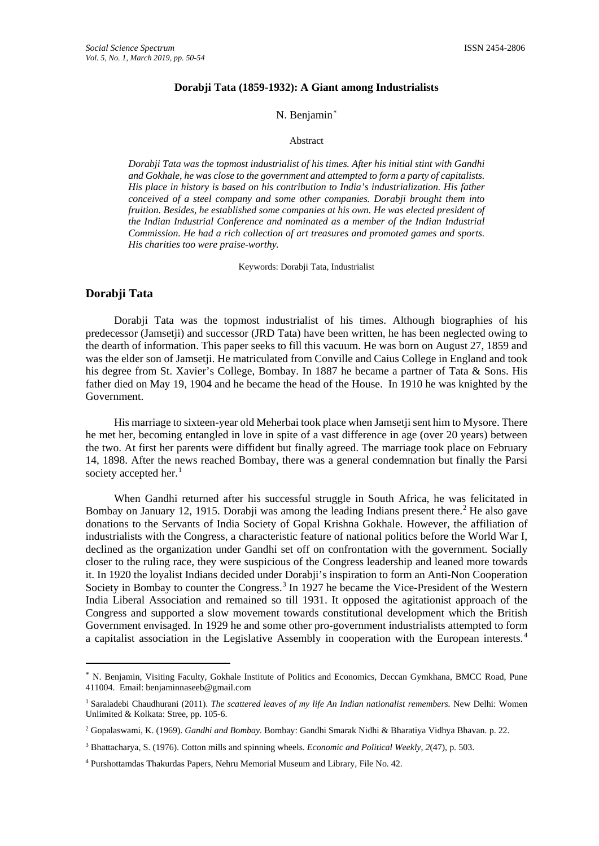### **Dorabji Tata (1859-1932): A Giant among Industrialists**

### N. Benjamin[∗](#page-0-0)

#### Abstract

*Dorabji Tata was the topmost industrialist of his times. After his initial stint with Gandhi and Gokhale, he was close to the government and attempted to form a party of capitalists. His place in history is based on his contribution to India's industrialization. His father conceived of a steel company and some other companies. Dorabji brought them into fruition. Besides, he established some companies at his own. He was elected president of the Indian Industrial Conference and nominated as a member of the Indian Industrial Commission. He had a rich collection of art treasures and promoted games and sports. His charities too were praise-worthy.*

Keywords: Dorabji Tata, Industrialist

## **Dorabji Tata**

 $\overline{a}$ 

Dorabji Tata was the topmost industrialist of his times. Although biographies of his predecessor (Jamsetji) and successor (JRD Tata) have been written, he has been neglected owing to the dearth of information. This paper seeks to fill this vacuum. He was born on August 27, 1859 and was the elder son of Jamsetji. He matriculated from Conville and Caius College in England and took his degree from St. Xavier's College, Bombay. In 1887 he became a partner of Tata & Sons. His father died on May 19, 1904 and he became the head of the House. In 1910 he was knighted by the Government.

His marriage to sixteen-year old Meherbai took place when Jamsetji sent him to Mysore. There he met her, becoming entangled in love in spite of a vast difference in age (over 20 years) between the two. At first her parents were diffident but finally agreed. The marriage took place on February 14, 1898. After the news reached Bombay, there was a general condemnation but finally the Parsi society accepted her.<sup>[1](#page-0-1)</sup>

When Gandhi returned after his successful struggle in South Africa, he was felicitated in Bombay on January 1[2](#page-0-2), 1915. Dorabji was among the leading Indians present there.<sup>2</sup> He also gave donations to the Servants of India Society of Gopal Krishna Gokhale. However, the affiliation of industrialists with the Congress, a characteristic feature of national politics before the World War I, declined as the organization under Gandhi set off on confrontation with the government. Socially closer to the ruling race, they were suspicious of the Congress leadership and leaned more towards it. In 1920 the loyalist Indians decided under Dorabji's inspiration to form an Anti-Non Cooperation Society in Bombay to counter the Congress.<sup>[3](#page-0-3)</sup> In 1927 he became the Vice-President of the Western India Liberal Association and remained so till 1931. It opposed the agitationist approach of the Congress and supported a slow movement towards constitutional development which the British Government envisaged. In 1929 he and some other pro-government industrialists attempted to form a capitalist association in the Legislative Assembly in cooperation with the European interests.[4](#page-0-4)

<span id="page-0-0"></span><sup>∗</sup> N. Benjamin, Visiting Faculty, Gokhale Institute of Politics and Economics, Deccan Gymkhana, BMCC Road, Pune 411004. Email: [benjaminnaseeb@gmail.com](mailto:benjaminnaseeb@gmail.com)

<span id="page-0-1"></span><sup>&</sup>lt;sup>1</sup> Saraladebi Chaudhurani (2011). *The scattered leaves of my life An Indian nationalist remembers*. New Delhi: Women Unlimited & Kolkata: Stree, pp. 105-6.

<span id="page-0-2"></span><sup>2</sup> Gopalaswami, K. (1969). *Gandhi and Bombay.* Bombay: Gandhi Smarak Nidhi & Bharatiya Vidhya Bhavan. p. 22.

<span id="page-0-3"></span><sup>3</sup> Bhattacharya, S. (1976). Cotton mills and spinning wheels. *Economic and Political Weekly*, *2*(47), p. 503.

<span id="page-0-4"></span><sup>4</sup> Purshottamdas Thakurdas Papers, Nehru Memorial Museum and Library, File No. 42.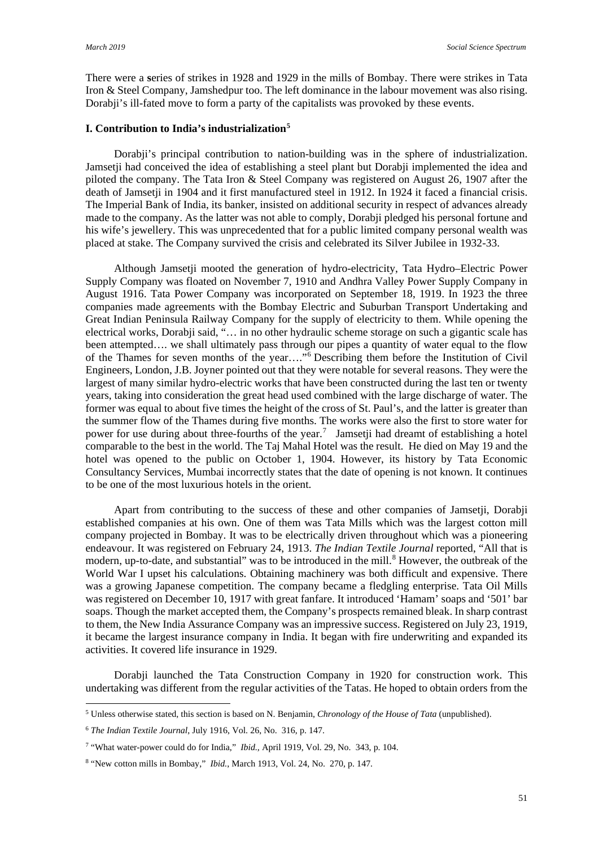There were a **s**eries of strikes in 1928 and 1929 in the mills of Bombay. There were strikes in Tata Iron & Steel Company, Jamshedpur too. The left dominance in the labour movement was also rising. Dorabji's ill-fated move to form a party of the capitalists was provoked by these events.

# **I. Contribution to India's industrialization[5](#page-1-0)**

Dorabii's principal contribution to nation-building was in the sphere of industrialization. Jamsetji had conceived the idea of establishing a steel plant but Dorabji implemented the idea and piloted the company. The Tata Iron & Steel Company was registered on August 26, 1907 after the death of Jamsetji in 1904 and it first manufactured steel in 1912. In 1924 it faced a financial crisis. The Imperial Bank of India, its banker, insisted on additional security in respect of advances already made to the company. As the latter was not able to comply, Dorabji pledged his personal fortune and his wife's jewellery. This was unprecedented that for a public limited company personal wealth was placed at stake. The Company survived the crisis and celebrated its Silver Jubilee in 1932-33.

Although Jamsetji mooted the generation of hydro-electricity, Tata Hydro–Electric Power Supply Company was floated on November 7, 1910 and Andhra Valley Power Supply Company in August 1916. Tata Power Company was incorporated on September 18, 1919. In 1923 the three companies made agreements with the Bombay Electric and Suburban Transport Undertaking and Great Indian Peninsula Railway Company for the supply of electricity to them. While opening the electrical works, Dorabji said, "… in no other hydraulic scheme storage on such a gigantic scale has been attempted.... we shall ultimately pass through our pipes a quantity of water equal to the flow of the Thames for seven months of the year…."[6](#page-1-1) Describing them before the Institution of Civil Engineers, London, J.B. Joyner pointed out that they were notable for several reasons. They were the largest of many similar hydro-electric works that have been constructed during the last ten or twenty years, taking into consideration the great head used combined with the large discharge of water. The former was equal to about five times the height of the cross of St. Paul's, and the latter is greater than the summer flow of the Thames during five months. The works were also the first to store water for power for use during about three-fourths of the year.<sup>[7](#page-1-2)</sup> Jamsetji had dreamt of establishing a hotel comparable to the best in the world. The Taj Mahal Hotel was the result. He died on May 19 and the hotel was opened to the public on October 1, 1904. However, its history by Tata Economic Consultancy Services, Mumbai incorrectly states that the date of opening is not known. It continues to be one of the most luxurious hotels in the orient.

Apart from contributing to the success of these and other companies of Jamsetji, Dorabji established companies at his own. One of them was Tata Mills which was the largest cotton mill company projected in Bombay. It was to be electrically driven throughout which was a pioneering endeavour. It was registered on February 24, 1913. *The Indian Textile Journal* reported, "All that is modern, up-to-date, and substantial" was to be introduced in the mill.<sup>[8](#page-1-3)</sup> However, the outbreak of the World War I upset his calculations. Obtaining machinery was both difficult and expensive. There was a growing Japanese competition. The company became a fledgling enterprise. Tata Oil Mills was registered on December 10, 1917 with great fanfare. It introduced 'Hamam' soaps and '501' bar soaps. Though the market accepted them, the Company's prospects remained bleak. In sharp contrast to them, the New India Assurance Company was an impressive success. Registered on July 23, 1919, it became the largest insurance company in India. It began with fire underwriting and expanded its activities. It covered life insurance in 1929.

Dorabji launched the Tata Construction Company in 1920 for construction work. This undertaking was different from the regular activities of the Tatas. He hoped to obtain orders from the

 $\overline{a}$ 

<span id="page-1-0"></span><sup>5</sup> Unless otherwise stated, this section is based on N. Benjamin, *Chronology of the House of Tata* (unpublished).

<span id="page-1-1"></span><sup>6</sup> *The Indian Textile Journal*, July 1916, Vol. 26, No. 316, p. 147.

<span id="page-1-2"></span><sup>7</sup> "What water-power could do for India," *Ibid.,* April 1919, Vol. 29, No. 343, p. 104.

<span id="page-1-3"></span><sup>8</sup> "New cotton mills in Bombay," *Ibid.*, March 1913, Vol. 24, No. 270, p. 147.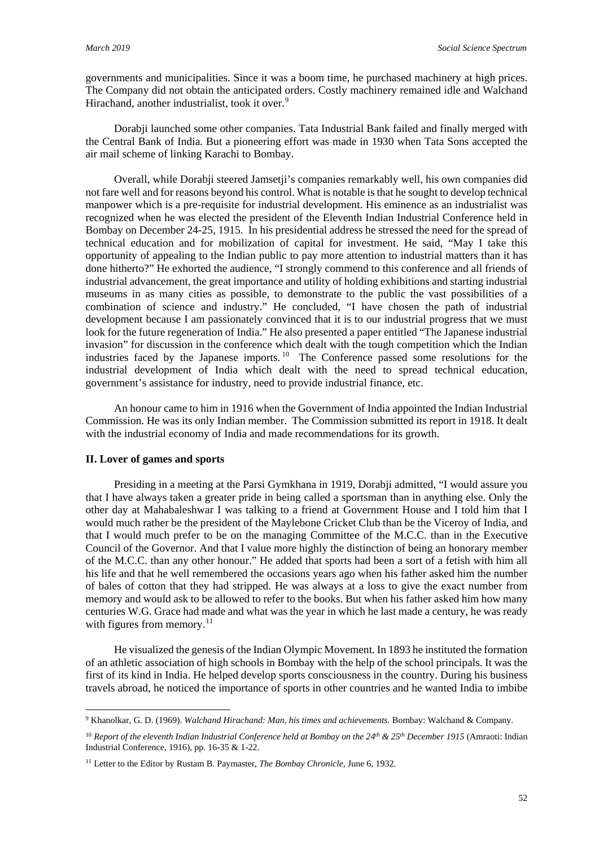governments and municipalities. Since it was a boom time, he purchased machinery at high prices. The Company did not obtain the anticipated orders. Costly machinery remained idle and Walchand Hirachand, another industrialist, took it over.<sup>[9](#page-2-0)</sup>

Dorabji launched some other companies. Tata Industrial Bank failed and finally merged with the Central Bank of India. But a pioneering effort was made in 1930 when Tata Sons accepted the air mail scheme of linking Karachi to Bombay.

Overall, while Dorabji steered Jamsetji's companies remarkably well, his own companies did not fare well and for reasons beyond his control. What is notable is that he sought to develop technical manpower which is a pre-requisite for industrial development. His eminence as an industrialist was recognized when he was elected the president of the Eleventh Indian Industrial Conference held in Bombay on December 24-25, 1915. In his presidential address he stressed the need for the spread of technical education and for mobilization of capital for investment. He said, "May I take this opportunity of appealing to the Indian public to pay more attention to industrial matters than it has done hitherto?" He exhorted the audience, "I strongly commend to this conference and all friends of industrial advancement, the great importance and utility of holding exhibitions and starting industrial museums in as many cities as possible, to demonstrate to the public the vast possibilities of a combination of science and industry." He concluded, "I have chosen the path of industrial development because I am passionately convinced that it is to our industrial progress that we must look for the future regeneration of India." He also presented a paper entitled "The Japanese industrial invasion" for discussion in the conference which dealt with the tough competition which the Indian industries faced by the Japanese imports.<sup>[10](#page-2-1)</sup> The Conference passed some resolutions for the industrial development of India which dealt with the need to spread technical education, government's assistance for industry, need to provide industrial finance, etc.

An honour came to him in 1916 when the Government of India appointed the Indian Industrial Commission. He was its only Indian member. The Commission submitted its report in 1918. It dealt with the industrial economy of India and made recommendations for its growth.

### **II. Lover of games and sports**

 $\overline{a}$ 

Presiding in a meeting at the Parsi Gymkhana in 1919, Dorabji admitted, "I would assure you that I have always taken a greater pride in being called a sportsman than in anything else. Only the other day at Mahabaleshwar I was talking to a friend at Government House and I told him that I would much rather be the president of the Maylebone Cricket Club than be the Viceroy of India, and that I would much prefer to be on the managing Committee of the M.C.C. than in the Executive Council of the Governor. And that I value more highly the distinction of being an honorary member of the M.C.C. than any other honour." He added that sports had been a sort of a fetish with him all his life and that he well remembered the occasions years ago when his father asked him the number of bales of cotton that they had stripped. He was always at a loss to give the exact number from memory and would ask to be allowed to refer to the books. But when his father asked him how many centuries W.G. Grace had made and what was the year in which he last made a century, he was ready with figures from memory. $11$ 

He visualized the genesis of the Indian Olympic Movement. In 1893 he instituted the formation of an athletic association of high schools in Bombay with the help of the school principals. It was the first of its kind in India. He helped develop sports consciousness in the country. During his business travels abroad, he noticed the importance of sports in other countries and he wanted India to imbibe

<span id="page-2-0"></span><sup>9</sup> Khanolkar, G. D. (1969). *Walchand Hirachand: Man, his times and achievements.* Bombay: Walchand & Company.

<span id="page-2-1"></span><sup>10</sup> *Report of the eleventh Indian Industrial Conference held at Bombay on the 24th & 25th December 1915* (Amraoti: Indian Industrial Conference, 1916), pp. 16-35 & 1-22.

<span id="page-2-2"></span><sup>&</sup>lt;sup>11</sup> Letter to the Editor by Rustam B. Paymaster, *The Bombay Chronicle*, June 6, 1932.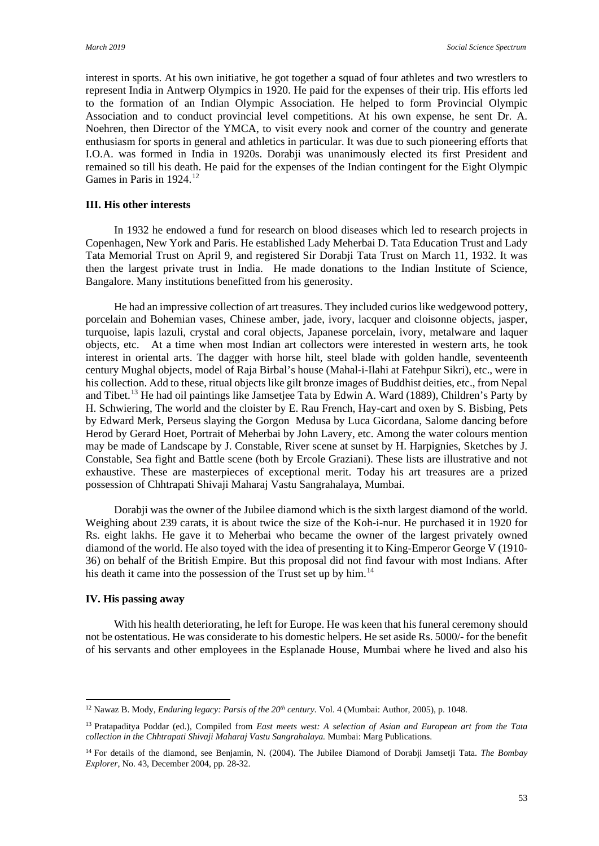interest in sports. At his own initiative, he got together a squad of four athletes and two wrestlers to represent India in Antwerp Olympics in 1920. He paid for the expenses of their trip. His efforts led to the formation of an Indian Olympic Association. He helped to form Provincial Olympic Association and to conduct provincial level competitions. At his own expense, he sent Dr. A. Noehren, then Director of the YMCA, to visit every nook and corner of the country and generate enthusiasm for sports in general and athletics in particular. It was due to such pioneering efforts that I.O.A. was formed in India in 1920s. Dorabji was unanimously elected its first President and remained so till his death. He paid for the expenses of the Indian contingent for the Eight Olympic Games in Paris in 1924.<sup>[12](#page-3-0)</sup>

## **III. His other interests**

In 1932 he endowed a fund for research on blood diseases which led to research projects in Copenhagen, New York and Paris. He established Lady Meherbai D. Tata Education Trust and Lady Tata Memorial Trust on April 9, and registered Sir Dorabji Tata Trust on March 11, 1932. It was then the largest private trust in India. He made donations to the Indian Institute of Science, Bangalore. Many institutions benefitted from his generosity.

He had an impressive collection of art treasures. They included curios like wedgewood pottery, porcelain and Bohemian vases, Chinese amber, jade, ivory, lacquer and cloisonne objects, jasper, turquoise, lapis lazuli, crystal and coral objects, Japanese porcelain, ivory, metalware and laquer objects, etc. At a time when most Indian art collectors were interested in western arts, he took interest in oriental arts. The dagger with horse hilt, steel blade with golden handle, seventeenth century Mughal objects, model of Raja Birbal's house (Mahal-i-Ilahi at Fatehpur Sikri), etc., were in his collection. Add to these, ritual objects like gilt bronze images of Buddhist deities, etc., from Nepal and Tibet.[13](#page-3-1) He had oil paintings like Jamsetjee Tata by Edwin A. Ward (1889), Children's Party by H. Schwiering, The world and the cloister by E. Rau French, Hay-cart and oxen by S. Bisbing, Pets by Edward Merk, Perseus slaying the Gorgon Medusa by Luca Gicordana, Salome dancing before Herod by Gerard Hoet, Portrait of Meherbai by John Lavery, etc. Among the water colours mention may be made of Landscape by J. Constable, River scene at sunset by H. Harpignies, Sketches by J. Constable, Sea fight and Battle scene (both by Ercole Graziani). These lists are illustrative and not exhaustive. These are masterpieces of exceptional merit. Today his art treasures are a prized possession of Chhtrapati Shivaji Maharaj Vastu Sangrahalaya, Mumbai.

Dorabji was the owner of the Jubilee diamond which is the sixth largest diamond of the world. Weighing about 239 carats, it is about twice the size of the Koh-i-nur. He purchased it in 1920 for Rs. eight lakhs. He gave it to Meherbai who became the owner of the largest privately owned diamond of the world. He also toyed with the idea of presenting it to King-Emperor George V (1910- 36) on behalf of the British Empire. But this proposal did not find favour with most Indians. After his death it came into the possession of the Trust set up by him.<sup>[14](#page-3-2)</sup>

## **IV. His passing away**

l

With his health deteriorating, he left for Europe. He was keen that his funeral ceremony should not be ostentatious. He was considerate to his domestic helpers. He set aside Rs. 5000/- for the benefit of his servants and other employees in the Esplanade House, Mumbai where he lived and also his

<span id="page-3-0"></span><sup>12</sup> Nawaz B. Mody, *Enduring legacy: Parsis of the 20th century.* Vol. 4 (Mumbai: Author, 2005), p. 1048.

<span id="page-3-1"></span><sup>13</sup> Pratapaditya Poddar (ed.), Compiled from *East meets west: A selection of Asian and European art from the Tata collection in the Chhtrapati Shivaji Maharaj Vastu Sangrahalaya.* Mumbai: Marg Publications.

<span id="page-3-2"></span><sup>14</sup> For details of the diamond, see Benjamin, N. (2004). The Jubilee Diamond of Dorabji Jamsetji Tata. *The Bombay Explorer*, No. 43, December 2004, pp. 28-32.